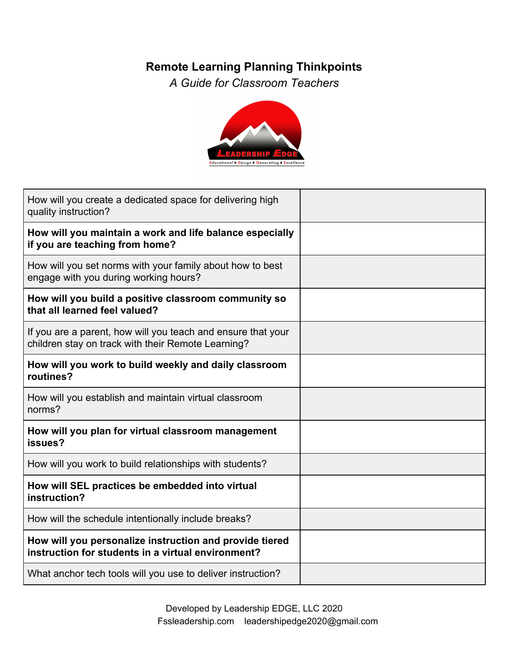## **Remote Learning Planning Thinkpoints**

*A Guide for Classroom Teachers*



| How will you create a dedicated space for delivering high<br>quality instruction?                                  |  |
|--------------------------------------------------------------------------------------------------------------------|--|
| How will you maintain a work and life balance especially<br>if you are teaching from home?                         |  |
| How will you set norms with your family about how to best<br>engage with you during working hours?                 |  |
| How will you build a positive classroom community so<br>that all learned feel valued?                              |  |
| If you are a parent, how will you teach and ensure that your<br>children stay on track with their Remote Learning? |  |
| How will you work to build weekly and daily classroom<br>routines?                                                 |  |
| How will you establish and maintain virtual classroom<br>norms?                                                    |  |
| How will you plan for virtual classroom management<br>issues?                                                      |  |
| How will you work to build relationships with students?                                                            |  |
| How will SEL practices be embedded into virtual<br>instruction?                                                    |  |
| How will the schedule intentionally include breaks?                                                                |  |
| How will you personalize instruction and provide tiered<br>instruction for students in a virtual environment?      |  |
| What anchor tech tools will you use to deliver instruction?                                                        |  |